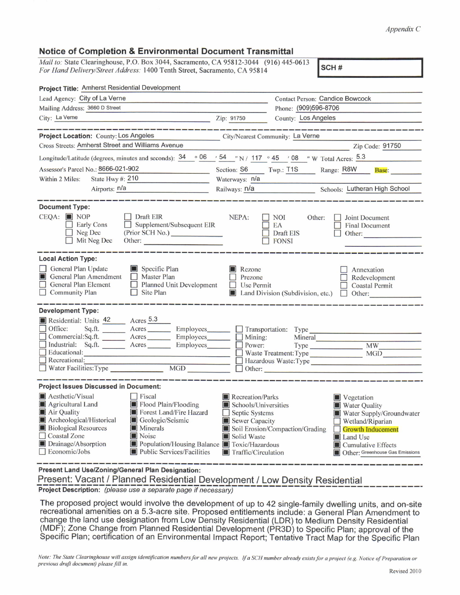## *Appendix C*

## **Notice of Completion & Environmental Document Transmittal**

*Mail to:* State Clearinghouse, P.O. Box 3044, Sacramento, CA 95812-3044 (916) 445-0613 *For Hand Delivery/Street Address*: 1400 Tenth Street, Sacramento, CA 95814 **SCH** #

| Project Title: Amherst Residential Development                                                                                                                                                                                                                                                                                                                                 |                                                                                                                    |                                                                                                                                                                                                                                              |  |  |  |  |
|--------------------------------------------------------------------------------------------------------------------------------------------------------------------------------------------------------------------------------------------------------------------------------------------------------------------------------------------------------------------------------|--------------------------------------------------------------------------------------------------------------------|----------------------------------------------------------------------------------------------------------------------------------------------------------------------------------------------------------------------------------------------|--|--|--|--|
| Lead Agency: City of La Verne                                                                                                                                                                                                                                                                                                                                                  | <b>Contact Person: Candice Bowcock</b>                                                                             |                                                                                                                                                                                                                                              |  |  |  |  |
| Mailing Address: 3660 D Street                                                                                                                                                                                                                                                                                                                                                 | Phone: (909)596-8706                                                                                               |                                                                                                                                                                                                                                              |  |  |  |  |
| City: La Verne<br><u>Zip: 91750</u>                                                                                                                                                                                                                                                                                                                                            |                                                                                                                    | County: Los Angeles                                                                                                                                                                                                                          |  |  |  |  |
| ______________<br>Project Location: County: Los Angeles<br>Cross Streets: Amherst Street and Williams Avenue<br>Longitude/Latitude (degrees, minutes and seconds): $\frac{34}{96}$ $\frac{06}{54}$ $\frac{54}{7}$ N / $\frac{117}{9}$ $\frac{45}{9}$ $\frac{7}{9}$ 08 $\frac{7}{7}$ W Total Acres: $\frac{5.3}{7}$<br>Assessor's Parcel No.: 8666-021-902                      | City/Nearest Community: La Verne<br>Section: S6                                                                    | Zip Code: 91750<br>Twp.: T1S Range: R8W Base:                                                                                                                                                                                                |  |  |  |  |
| State Hwy #: 210<br>Within 2 Miles:                                                                                                                                                                                                                                                                                                                                            | Waterways: n/a                                                                                                     |                                                                                                                                                                                                                                              |  |  |  |  |
| Airports: n/a<br>i<br>1980 - Andrew Berlin, amerikansk politik                                                                                                                                                                                                                                                                                                                 |                                                                                                                    | Railways: n/a<br>Schools: Lutheran High School                                                                                                                                                                                               |  |  |  |  |
| <b>Document Type:</b><br>$CEOA:$ NOP<br>Draft EIR<br>Early Cons<br>$\Box$ Supplement/Subsequent EIR<br>$\Box$ Neg Dec<br>(Prior SCH No.)<br>$\Box$ Mit Neg Dec                                                                                                                                                                                                                 | NEPA:                                                                                                              | $\Box$ NOI<br>Other:<br>Joint Document<br>$\Box$ EA<br><b>Final Document</b><br>Draft EIS<br>Other:<br>$\Box$ FONSI                                                                                                                          |  |  |  |  |
| <b>Local Action Type:</b>                                                                                                                                                                                                                                                                                                                                                      |                                                                                                                    |                                                                                                                                                                                                                                              |  |  |  |  |
| General Plan Update<br>Specific Plan<br>General Plan Amendment<br>$\Box$ Master Plan<br>General Plan Element<br>Planned Unit Development<br>Community Plan<br>$\Box$ Site Plan                                                                                                                                                                                                 | Rezone<br><b>Prezone</b><br>$\Box$ Use Permit                                                                      | Annexation<br>Redevelopment<br><b>Coastal Permit</b><br>Land Division (Subdivision, etc.) $\Box$ Other:                                                                                                                                      |  |  |  |  |
| <b>Development Type:</b><br>Residential: Units 42 Acres 5.3<br>Office: Sq.ft. _______ Acres ________ Employees _______ __ Transportation: Type ________<br>Commercial:Sq.ft. ________ Acres _________ Employees _______ __ Mining: Mineral ________<br>Industrial: Sq.ft. Acres Employees Power:<br>$\Box$ Educational:                                                        |                                                                                                                    | Type MW MW<br>Waste Treatment: Type MGD<br>$\Box$ Other:                                                                                                                                                                                     |  |  |  |  |
| <b>Project Issues Discussed in Document:</b>                                                                                                                                                                                                                                                                                                                                   |                                                                                                                    |                                                                                                                                                                                                                                              |  |  |  |  |
| Aesthetic/Visual<br><b>Fiscal</b><br>Agricultural Land<br>Flood Plain/Flooding<br>Air Quality<br>Forest Land/Fire Hazard<br>Archeological/Historical<br>Geologic/Seismic<br><b>Biological Resources</b><br><b>Minerals</b><br>Coastal Zone<br>Noise<br>$\Box$ Drainage/Absorption<br>Population/Housing Balance Toxic/Hazardous<br>Economic/Jobs<br>Public Services/Facilities | Recreation/Parks<br>Schools/Universities<br>Septic Systems<br>Sewer Capacity<br>Solid Waste<br>Traffic/Circulation | <b>Vegetation</b><br>Water Quality<br>Water Supply/Groundwater<br>$\Box$ Wetland/Riparian<br>Soil Erosion/Compaction/Grading<br><b>Growth Inducement</b><br>Land Use<br>$\blacksquare$ Cumulative Effects<br>Other: Greenhouse Gas Emissions |  |  |  |  |

**Present Land Use/Zoning/General Plan Designation:**

Present: Vacant / Planned Residential Development / Low Density Residential<br>Project Description: *(please use a separate page if necessary)* **Pianned Project Description:** *(please use <sup>a</sup> separate page if necessary)*

The proposed project would involve the development of up to <sup>42</sup> single-family dwelling units, and on-site recreational amenities on <sup>a</sup> 5.3-acre site. Proposed entitlements include: <sup>a</sup> General Plan Amendment to change the land use designation from Low Density Residential (LDR) to Medium Density Residential (MDF); Zone Change from Planned Residential Development (PR3D) to Specific Plan; approval of the Specific Plan; certification of an Environmental Impact Report; Tentative Tract Map for the Specific Plan

Note: The State Clearinghouse will assign identification numbers for all new projects. If a SCH number already exists for a project (e.g. Notice of Preparation or *previous draft document) please fill in.*